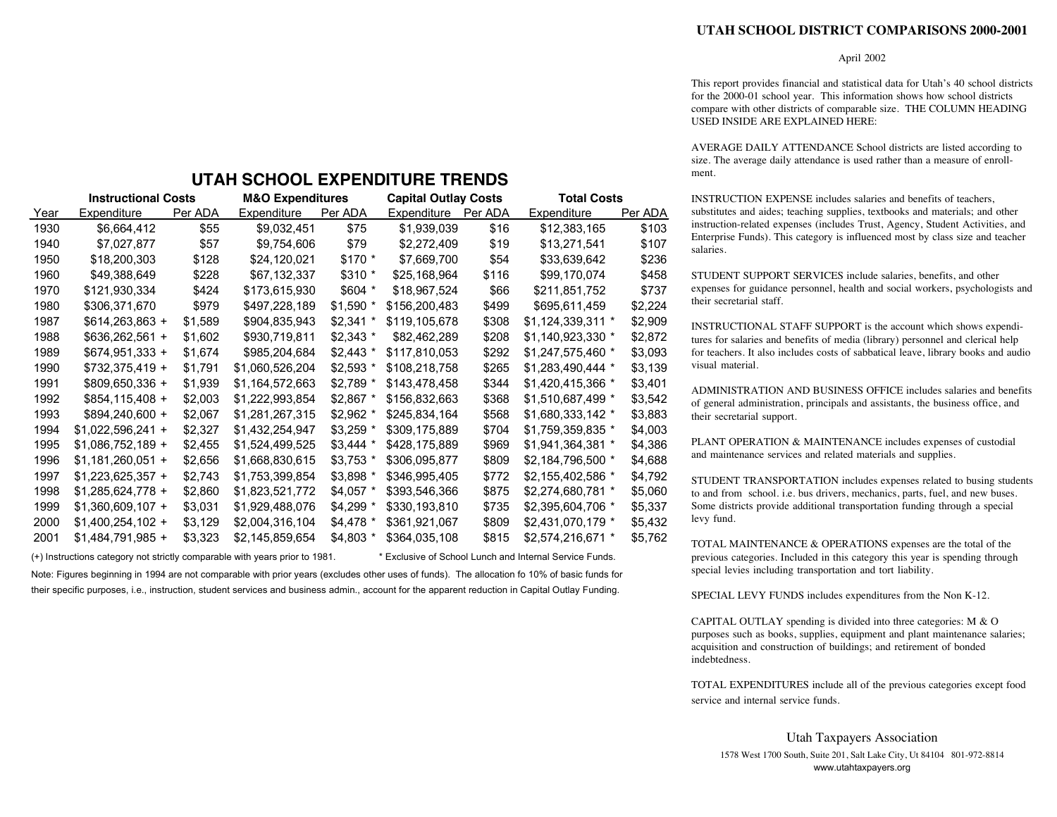## **UTAH SCHOOL DISTRICT COMPARISONS 2000-2001**

## April 2002

This report provides financial and statistical data for Utah's 40 school districts for the 2000-01 school year. This information shows how school districts compare with other districts of comparable size. THE COLUMN HEADING USED INSIDE ARE EXPLAINED HERE:

AVERAGE DAILY ATTENDANCE School districts are listed according to size. The average daily attendance is used rather than a measure of enrollment.

INSTRUCTION EXPENSE includes salaries and benefits of teachers, substitutes and aides; teaching supplies, textbooks and materials; and other instruction-related expenses (includes Trust, Agency, Student Activities, and Enterprise Funds). This category is influenced most by class size and teacher salaries.

STUDENT SUPPORT SERVICES include salaries, benefits, and other expenses for guidance personnel, health and social workers, psychologists and their secretarial staff.

INSTRUCTIONAL STAFF SUPPORT is the account which shows expenditures for salaries and benefits of media (library) personnel and clerical help for teachers. It also includes costs of sabbatical leave, library books and audio visual material.

ADMINISTRATION AND BUSINESS OFFICE includes salaries and benefits of general administration, principals and assistants, the business office, and their secretarial support.

PLANT OPERATION & MAINTENANCE includes expenses of custodial and maintenance services and related materials and supplies.

STUDENT TRANSPORTATION includes expenses related to busing students to and from school. i.e. bus drivers, mechanics, parts, fuel, and new buses. Some districts provide additional transportation funding through a special levy fund.

TOTAL MAINTENANCE & OPERATIONS expenses are the total of the previous categories. Included in this category this year is spending through special levies including transportation and tort liability.

SPECIAL LEVY FUNDS includes expenditures from the Non K-12.

CAPITAL OUTLAY spending is divided into three categories: M & O purposes such as books, supplies, equipment and plant maintenance salaries; acquisition and construction of buildings; and retirement of bonded indebtedness.

TOTAL EXPENDITURES include all of the previous categories except food service and internal service funds.

## **UTAH SCHOOL EXPENDITURE TRENDS**

|      | <b>Instructional Costs</b> |         | <b>M&amp;O Expenditures</b> |            | <b>Capital Outlay Costs</b> |         | <b>Total Costs</b> |         |  |  |
|------|----------------------------|---------|-----------------------------|------------|-----------------------------|---------|--------------------|---------|--|--|
| Year | Expenditure                | Per ADA | Expenditure                 | Per ADA    | Expenditure                 | Per ADA | Expenditure        | Per ADA |  |  |
| 1930 | \$6,664,412                | \$55    | \$9,032,451                 | \$75       | \$1,939,039                 | \$16    | \$12,383,165       | \$103   |  |  |
| 1940 | \$7,027,877                | \$57    | \$9,754,606                 | \$79       | \$2,272,409                 | \$19    | \$13,271,541       | \$107   |  |  |
| 1950 | \$18,200,303               | \$128   | \$24,120,021                | \$170 *    | \$7,669,700                 | \$54    | \$33,639,642       | \$236   |  |  |
| 1960 | \$49,388,649               | \$228   | \$67,132,337                | $$310*$    | \$25,168,964                | \$116   | \$99,170,074       | \$458   |  |  |
| 1970 | \$121,930,334              | \$424   | \$173,615,930               | \$604 *    | \$18,967,524                | \$66    | \$211,851,752      | \$737   |  |  |
| 1980 | \$306,371,670              | \$979   | \$497,228,189               | $$1,590$ * | \$156,200,483               | \$499   | \$695,611,459      | \$2,224 |  |  |
| 1987 | $$614,263,863 +$           | \$1,589 | \$904,835,943               | $$2,341$ * | \$119,105,678               | \$308   | \$1,124,339,311 *  | \$2,909 |  |  |
| 1988 | $$636,262,561 +$           | \$1,602 | \$930,719,811               | $$2,343$ * | \$82,462,289                | \$208   | \$1,140,923,330 *  | \$2,872 |  |  |
| 1989 | \$674,951,333 +            | \$1,674 | \$985,204,684               | $$2,443$ * | \$117,810,053               | \$292   | \$1,247,575,460 *  | \$3,093 |  |  |
| 1990 | \$732,375,419 +            | \$1,791 | \$1,060,526,204             | $$2,593$ * | \$108,218,758               | \$265   | \$1,283,490,444 *  | \$3,139 |  |  |
| 1991 | \$809,650,336 +            | \$1,939 | \$1,164,572,663             | $$2,789$ * | \$143,478,458               | \$344   | \$1,420,415,366 *  | \$3,401 |  |  |
| 1992 | \$854,115,408 +            | \$2,003 | \$1,222,993,854             | $$2,867$ * | \$156,832,663               | \$368   | \$1,510,687,499 *  | \$3,542 |  |  |
| 1993 | \$894,240,600 +            | \$2,067 | \$1,281,267,315             | \$2,962 *  | \$245,834,164               | \$568   | \$1,680,333,142 *  | \$3,883 |  |  |
| 1994 | $$1,022,596,241 +$         | \$2,327 | \$1,432,254,947             | $$3,259$ * | \$309,175,889               | \$704   | \$1,759,359,835 *  | \$4,003 |  |  |
| 1995 | $$1,086,752,189 +$         | \$2,455 | \$1,524,499,525             | $$3,444$ * | \$428,175,889               | \$969   | \$1,941,364,381 *  | \$4,386 |  |  |
| 1996 | $$1,181,260,051 +$         | \$2,656 | \$1,668,830,615             | $$3,753$ * | \$306,095,877               | \$809   | \$2,184,796,500 *  | \$4,688 |  |  |
| 1997 | $$1,223,625,357 +$         | \$2,743 | \$1,753,399,854             | $$3,898$ * | \$346,995,405               | \$772   | \$2,155,402,586 *  | \$4,792 |  |  |
| 1998 | $$1,285,624,778 +$         | \$2,860 | \$1,823,521,772             | $$4.057$ * | \$393,546,366               | \$875   | \$2,274,680,781 *  | \$5,060 |  |  |
| 1999 | $$1,360,609,107 +$         | \$3,031 | \$1,929,488,076             | $$4,299$ * | \$330,193,810               | \$735   | \$2,395,604,706 *  | \$5,337 |  |  |
| 2000 | $$1,400,254,102 +$         | \$3,129 | \$2,004,316,104             | \$4,478 *  | \$361,921,067               | \$809   | \$2,431,070,179 *  | \$5,432 |  |  |
| 2001 | \$1,484,791,985 +          | \$3,323 | \$2,145,859,654             | \$4,803 *  | \$364,035,108               | \$815   | \$2,574,216,671 *  | \$5,762 |  |  |

(+) Instructions category not strictly comparable with years prior to 1981. \* Exclusive of School Lunch and Internal Service Funds.

Note: Figures beginning in 1994 are not comparable with prior years (excludes other uses of funds). The allocation fo 10% of basic funds for their specific purposes, i.e., instruction, student services and business admin., account for the apparent reduction in Capital Outlay Funding.